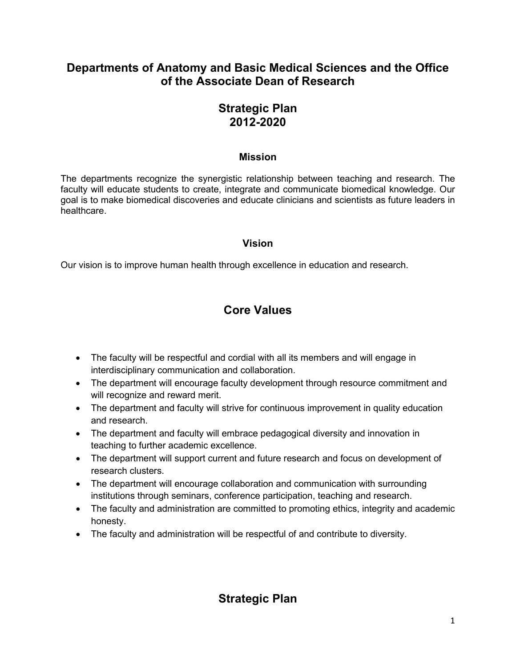## **Departments of Anatomy and Basic Medical Sciences and the Office of the Associate Dean of Research**

## **Strategic Plan 2012-2020**

## **Mission**

The departments recognize the synergistic relationship between teaching and research. The faculty will educate students to create, integrate and communicate biomedical knowledge. Our goal is to make biomedical discoveries and educate clinicians and scientists as future leaders in healthcare.

## **Vision**

Our vision is to improve human health through excellence in education and research.

# **Core Values**

- The faculty will be respectful and cordial with all its members and will engage in interdisciplinary communication and collaboration.
- The department will encourage faculty development through resource commitment and will recognize and reward merit.
- The department and faculty will strive for continuous improvement in quality education and research.
- The department and faculty will embrace pedagogical diversity and innovation in teaching to further academic excellence.
- The department will support current and future research and focus on development of research clusters.
- The department will encourage collaboration and communication with surrounding institutions through seminars, conference participation, teaching and research.
- The faculty and administration are committed to promoting ethics, integrity and academic honesty.
- The faculty and administration will be respectful of and contribute to diversity.

# **Strategic Plan**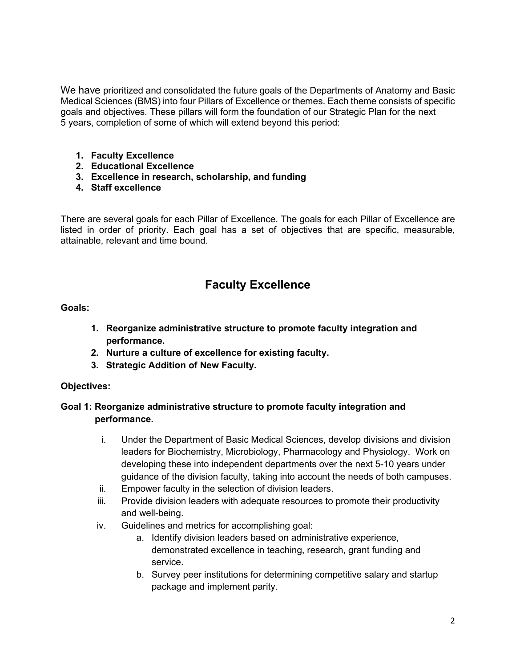We have prioritized and consolidated the future goals of the Departments of Anatomy and Basic Medical Sciences (BMS) into four Pillars of Excellence or themes. Each theme consists of specific goals and objectives. These pillars will form the foundation of our Strategic Plan for the next 5 years, completion of some of which will extend beyond this period:

- **1. Faculty Excellence**
- **2. Educational Excellence**
- **3. Excellence in research, scholarship, and funding**
- **4. Staff excellence**

There are several goals for each Pillar of Excellence. The goals for each Pillar of Excellence are listed in order of priority. Each goal has a set of objectives that are specific, measurable, attainable, relevant and time bound.

# **Faculty Excellence**

### **Goals:**

- **1. Reorganize administrative structure to promote faculty integration and performance.**
- **2. Nurture a culture of excellence for existing faculty.**
- **3. Strategic Addition of New Faculty.**

## **Objectives:**

## **Goal 1: Reorganize administrative structure to promote faculty integration and performance.**

- i. Under the Department of Basic Medical Sciences, develop divisions and division leaders for Biochemistry, Microbiology, Pharmacology and Physiology. Work on developing these into independent departments over the next 5-10 years under guidance of the division faculty, taking into account the needs of both campuses.
- ii. Empower faculty in the selection of division leaders.
- iii. Provide division leaders with adequate resources to promote their productivity and well-being.
- iv. Guidelines and metrics for accomplishing goal:
	- a. Identify division leaders based on administrative experience, demonstrated excellence in teaching, research, grant funding and service.
	- b. Survey peer institutions for determining competitive salary and startup package and implement parity.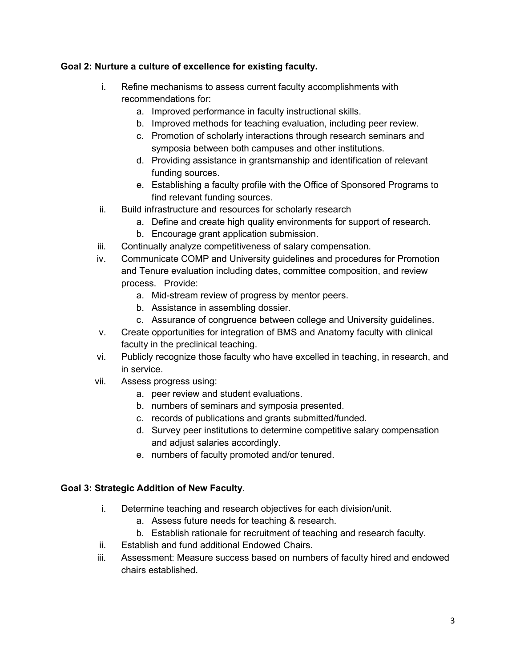### **Goal 2: Nurture a culture of excellence for existing faculty.**

- i. Refine mechanisms to assess current faculty accomplishments with recommendations for:
	- a. Improved performance in faculty instructional skills.
	- b. Improved methods for teaching evaluation, including peer review.
	- c. Promotion of scholarly interactions through research seminars and symposia between both campuses and other institutions.
	- d. Providing assistance in grantsmanship and identification of relevant funding sources.
	- e. Establishing a faculty profile with the Office of Sponsored Programs to find relevant funding sources.
- ii. Build infrastructure and resources for scholarly research
	- a. Define and create high quality environments for support of research.
	- b. Encourage grant application submission.
- iii. Continually analyze competitiveness of salary compensation.
- iv. Communicate COMP and University guidelines and procedures for Promotion and Tenure evaluation including dates, committee composition, and review process. Provide:
	- a. Mid-stream review of progress by mentor peers.
	- b. Assistance in assembling dossier.
	- c. Assurance of congruence between college and University guidelines.
- v. Create opportunities for integration of BMS and Anatomy faculty with clinical faculty in the preclinical teaching.
- vi. Publicly recognize those faculty who have excelled in teaching, in research, and in service.
- vii. Assess progress using:
	- a. peer review and student evaluations.
	- b. numbers of seminars and symposia presented.
	- c. records of publications and grants submitted/funded.
	- d. Survey peer institutions to determine competitive salary compensation and adjust salaries accordingly.
	- e. numbers of faculty promoted and/or tenured.

### **Goal 3: Strategic Addition of New Faculty**.

- i. Determine teaching and research objectives for each division/unit.
	- a. Assess future needs for teaching & research.
	- b. Establish rationale for recruitment of teaching and research faculty.
- ii. Establish and fund additional Endowed Chairs.
- iii. Assessment: Measure success based on numbers of faculty hired and endowed chairs established.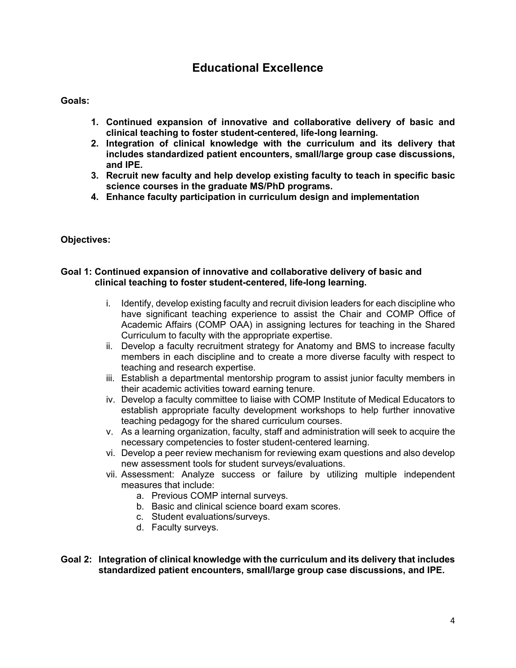# **Educational Excellence**

### **Goals:**

- **1. Continued expansion of innovative and collaborative delivery of basic and clinical teaching to foster student-centered, life-long learning.**
- **2. Integration of clinical knowledge with the curriculum and its delivery that includes standardized patient encounters, small/large group case discussions, and IPE.**
- **3. Recruit new faculty and help develop existing faculty to teach in specific basic science courses in the graduate MS/PhD programs.**
- **4. Enhance faculty participation in curriculum design and implementation**

### **Objectives:**

#### **Goal 1: Continued expansion of innovative and collaborative delivery of basic and clinical teaching to foster student-centered, life-long learning.**

- i. Identify, develop existing faculty and recruit division leaders for each discipline who have significant teaching experience to assist the Chair and COMP Office of Academic Affairs (COMP OAA) in assigning lectures for teaching in the Shared Curriculum to faculty with the appropriate expertise.
- ii. Develop a faculty recruitment strategy for Anatomy and BMS to increase faculty members in each discipline and to create a more diverse faculty with respect to teaching and research expertise.
- iii. Establish a departmental mentorship program to assist junior faculty members in their academic activities toward earning tenure.
- iv. Develop a faculty committee to liaise with COMP Institute of Medical Educators to establish appropriate faculty development workshops to help further innovative teaching pedagogy for the shared curriculum courses.
- v. As a learning organization, faculty, staff and administration will seek to acquire the necessary competencies to foster student-centered learning.
- vi. Develop a peer review mechanism for reviewing exam questions and also develop new assessment tools for student surveys/evaluations.
- vii. Assessment: Analyze success or failure by utilizing multiple independent measures that include:
	- a. Previous COMP internal surveys.
	- b. Basic and clinical science board exam scores.
	- c. Student evaluations/surveys.
	- d. Faculty surveys.

**Goal 2: Integration of clinical knowledge with the curriculum and its delivery that includes standardized patient encounters, small/large group case discussions, and IPE.**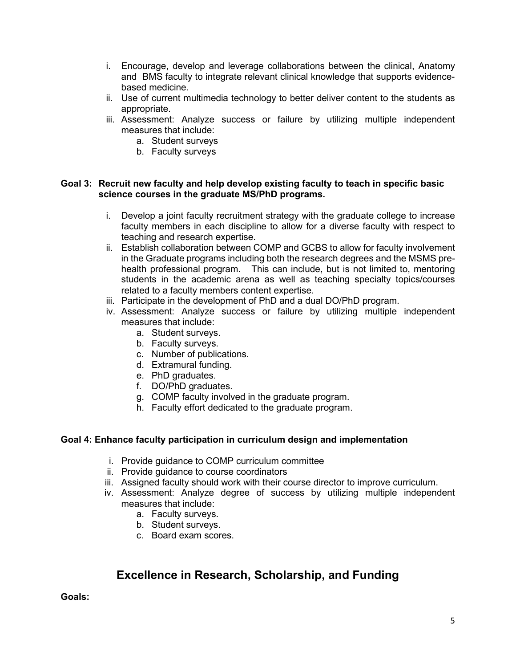- i. Encourage, develop and leverage collaborations between the clinical, Anatomy and BMS faculty to integrate relevant clinical knowledge that supports evidencebased medicine.
- ii. Use of current multimedia technology to better deliver content to the students as appropriate.
- iii. Assessment: Analyze success or failure by utilizing multiple independent measures that include:
	- a. Student surveys
	- b. Faculty surveys

#### **Goal 3: Recruit new faculty and help develop existing faculty to teach in specific basic science courses in the graduate MS/PhD programs.**

- i. Develop a joint faculty recruitment strategy with the graduate college to increase faculty members in each discipline to allow for a diverse faculty with respect to teaching and research expertise.
- ii. Establish collaboration between COMP and GCBS to allow for faculty involvement in the Graduate programs including both the research degrees and the MSMS prehealth professional program. This can include, but is not limited to, mentoring students in the academic arena as well as teaching specialty topics/courses related to a faculty members content expertise.
- iii. Participate in the development of PhD and a dual DO/PhD program.
- iv. Assessment: Analyze success or failure by utilizing multiple independent measures that include:
	- a. Student surveys.
	- b. Faculty surveys.
	- c. Number of publications.
	- d. Extramural funding.
	- e. PhD graduates.
	- f. DO/PhD graduates.
	- g. COMP faculty involved in the graduate program.
	- h. Faculty effort dedicated to the graduate program.

#### **Goal 4: Enhance faculty participation in curriculum design and implementation**

- i. Provide guidance to COMP curriculum committee
- ii. Provide guidance to course coordinators
- iii. Assigned faculty should work with their course director to improve curriculum.
- iv. Assessment: Analyze degree of success by utilizing multiple independent measures that include:
	- a. Faculty surveys.
	- b. Student surveys.
	- c. Board exam scores.

## **Excellence in Research, Scholarship, and Funding**

**Goals:**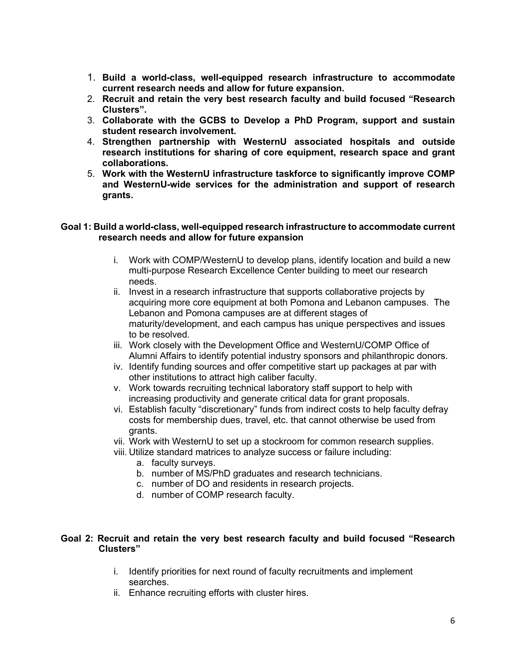- 1. **Build a world-class, well-equipped research infrastructure to accommodate current research needs and allow for future expansion.**
- 2. **Recruit and retain the very best research faculty and build focused "Research Clusters".**
- 3. **Collaborate with the GCBS to Develop a PhD Program, support and sustain student research involvement.**
- 4. **Strengthen partnership with WesternU associated hospitals and outside research institutions for sharing of core equipment, research space and grant collaborations.**
- 5. **Work with the WesternU infrastructure taskforce to significantly improve COMP and WesternU-wide services for the administration and support of research grants.**

#### **Goal 1: Build a world-class, well-equipped research infrastructure to accommodate current research needs and allow for future expansion**

- i. Work with COMP/WesternU to develop plans, identify location and build a new multi-purpose Research Excellence Center building to meet our research needs.
- ii. Invest in a research infrastructure that supports collaborative projects by acquiring more core equipment at both Pomona and Lebanon campuses. The Lebanon and Pomona campuses are at different stages of maturity/development, and each campus has unique perspectives and issues to be resolved.
- iii. Work closely with the Development Office and WesternU/COMP Office of Alumni Affairs to identify potential industry sponsors and philanthropic donors.
- iv. Identify funding sources and offer competitive start up packages at par with other institutions to attract high caliber faculty.
- v. Work towards recruiting technical laboratory staff support to help with increasing productivity and generate critical data for grant proposals.
- vi. Establish faculty "discretionary" funds from indirect costs to help faculty defray costs for membership dues, travel, etc. that cannot otherwise be used from grants.
- vii. Work with WesternU to set up a stockroom for common research supplies.
- viii. Utilize standard matrices to analyze success or failure including:
	- a. faculty surveys.
	- b. number of MS/PhD graduates and research technicians.
	- c. number of DO and residents in research projects.
	- d. number of COMP research faculty.

### **Goal 2: Recruit and retain the very best research faculty and build focused "Research Clusters"**

- i. Identify priorities for next round of faculty recruitments and implement searches.
- ii. Enhance recruiting efforts with cluster hires.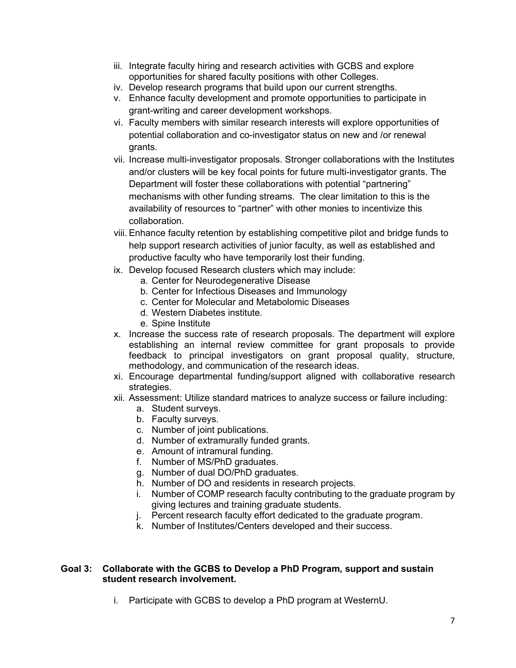- iii. Integrate faculty hiring and research activities with GCBS and explore opportunities for shared faculty positions with other Colleges.
- iv. Develop research programs that build upon our current strengths.
- v. Enhance faculty development and promote opportunities to participate in grant-writing and career development workshops.
- vi. Faculty members with similar research interests will explore opportunities of potential collaboration and co-investigator status on new and /or renewal grants.
- vii. Increase multi-investigator proposals. Stronger collaborations with the Institutes and/or clusters will be key focal points for future multi-investigator grants. The Department will foster these collaborations with potential "partnering" mechanisms with other funding streams. The clear limitation to this is the availability of resources to "partner" with other monies to incentivize this collaboration.
- viii. Enhance faculty retention by establishing competitive pilot and bridge funds to help support research activities of junior faculty, as well as established and productive faculty who have temporarily lost their funding.
- ix. Develop focused Research clusters which may include:
	- a. Center for Neurodegenerative Disease
	- b. Center for Infectious Diseases and Immunology
	- c. Center for Molecular and Metabolomic Diseases
	- d. Western Diabetes institute.
	- e. Spine Institute
- x. Increase the success rate of research proposals. The department will explore establishing an internal review committee for grant proposals to provide feedback to principal investigators on grant proposal quality, structure, methodology, and communication of the research ideas.
- xi. Encourage departmental funding/support aligned with collaborative research strategies.
- xii. Assessment: Utilize standard matrices to analyze success or failure including:
	- a. Student surveys.
	- b. Faculty surveys.
	- c. Number of joint publications.
	- d. Number of extramurally funded grants.
	- e. Amount of intramural funding.
	- f. Number of MS/PhD graduates.
	- g. Number of dual DO/PhD graduates.
	- h. Number of DO and residents in research projects.
	- i. Number of COMP research faculty contributing to the graduate program by giving lectures and training graduate students.
	- j. Percent research faculty effort dedicated to the graduate program.
	- k. Number of Institutes/Centers developed and their success.

### **Goal 3: Collaborate with the GCBS to Develop a PhD Program, support and sustain student research involvement.**

i. Participate with GCBS to develop a PhD program at WesternU.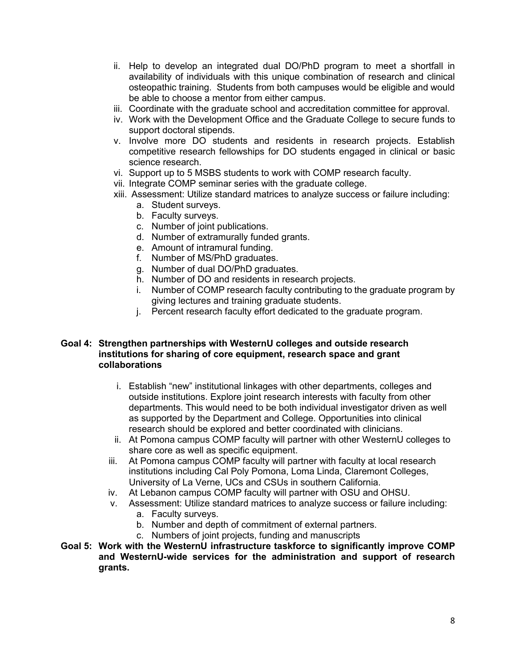- ii. Help to develop an integrated dual DO/PhD program to meet a shortfall in availability of individuals with this unique combination of research and clinical osteopathic training. Students from both campuses would be eligible and would be able to choose a mentor from either campus.
- iii. Coordinate with the graduate school and accreditation committee for approval.
- iv. Work with the Development Office and the Graduate College to secure funds to support doctoral stipends.
- v. Involve more DO students and residents in research projects. Establish competitive research fellowships for DO students engaged in clinical or basic science research.
- vi. Support up to 5 MSBS students to work with COMP research faculty.
- vii. Integrate COMP seminar series with the graduate college.
- xiii. Assessment: Utilize standard matrices to analyze success or failure including:
	- a. Student surveys.
	- b. Faculty surveys.
	- c. Number of joint publications.
	- d. Number of extramurally funded grants.
	- e. Amount of intramural funding.
	- f. Number of MS/PhD graduates.
	- g. Number of dual DO/PhD graduates.
	- h. Number of DO and residents in research projects.
	- i. Number of COMP research faculty contributing to the graduate program by giving lectures and training graduate students.
	- j. Percent research faculty effort dedicated to the graduate program.

#### **Goal 4: Strengthen partnerships with WesternU colleges and outside research institutions for sharing of core equipment, research space and grant collaborations**

- i. Establish "new" institutional linkages with other departments, colleges and outside institutions. Explore joint research interests with faculty from other departments. This would need to be both individual investigator driven as well as supported by the Department and College. Opportunities into clinical research should be explored and better coordinated with clinicians.
- ii. At Pomona campus COMP faculty will partner with other WesternU colleges to share core as well as specific equipment.
- iii. At Pomona campus COMP faculty will partner with faculty at local research institutions including Cal Poly Pomona, Loma Linda, Claremont Colleges, University of La Verne, UCs and CSUs in southern California.
- iv. At Lebanon campus COMP faculty will partner with OSU and OHSU.
- v. Assessment: Utilize standard matrices to analyze success or failure including:
	- a. Faculty surveys.
	- b. Number and depth of commitment of external partners.
	- c. Numbers of joint projects, funding and manuscripts
- **Goal 5: Work with the WesternU infrastructure taskforce to significantly improve COMP and WesternU-wide services for the administration and support of research grants.**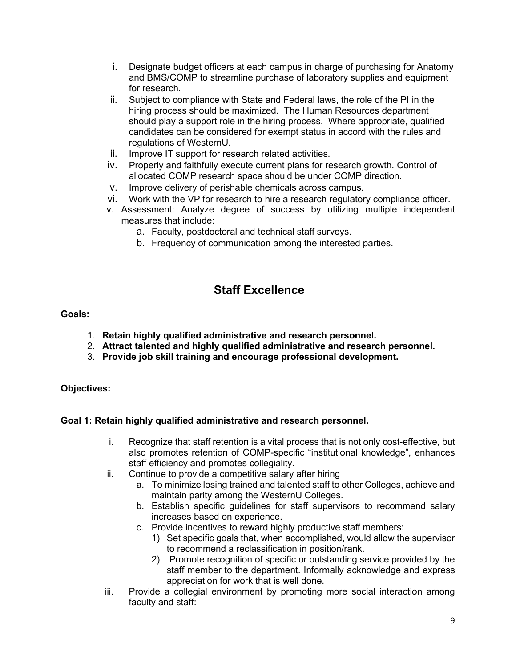- i. Designate budget officers at each campus in charge of purchasing for Anatomy and BMS/COMP to streamline purchase of laboratory supplies and equipment for research.
- ii. Subject to compliance with State and Federal laws, the role of the PI in the hiring process should be maximized. The Human Resources department should play a support role in the hiring process. Where appropriate, qualified candidates can be considered for exempt status in accord with the rules and regulations of WesternU.
- iii. Improve IT support for research related activities.
- iv. Properly and faithfully execute current plans for research growth. Control of allocated COMP research space should be under COMP direction.
- v. Improve delivery of perishable chemicals across campus.
- vi. Work with the VP for research to hire a research regulatory compliance officer.
- v. Assessment: Analyze degree of success by utilizing multiple independent measures that include:
	- a. Faculty, postdoctoral and technical staff surveys.
	- b. Frequency of communication among the interested parties.

## **Staff Excellence**

### **Goals:**

- 1. **Retain highly qualified administrative and research personnel.**
- 2. **Attract talented and highly qualified administrative and research personnel.**
- 3. **Provide job skill training and encourage professional development.**

## **Objectives:**

## **Goal 1: Retain highly qualified administrative and research personnel.**

- i. Recognize that staff retention is a vital process that is not only cost-effective, but also promotes retention of COMP-specific "institutional knowledge", enhances staff efficiency and promotes collegiality.
- ii. Continue to provide a competitive salary after hiring
	- a. To minimize losing trained and talented staff to other Colleges, achieve and maintain parity among the WesternU Colleges.
	- b. Establish specific guidelines for staff supervisors to recommend salary increases based on experience.
	- c. Provide incentives to reward highly productive staff members:
		- 1) Set specific goals that, when accomplished, would allow the supervisor to recommend a reclassification in position/rank.
		- 2) Promote recognition of specific or outstanding service provided by the staff member to the department. Informally acknowledge and express appreciation for work that is well done.
- iii. Provide a collegial environment by promoting more social interaction among faculty and staff: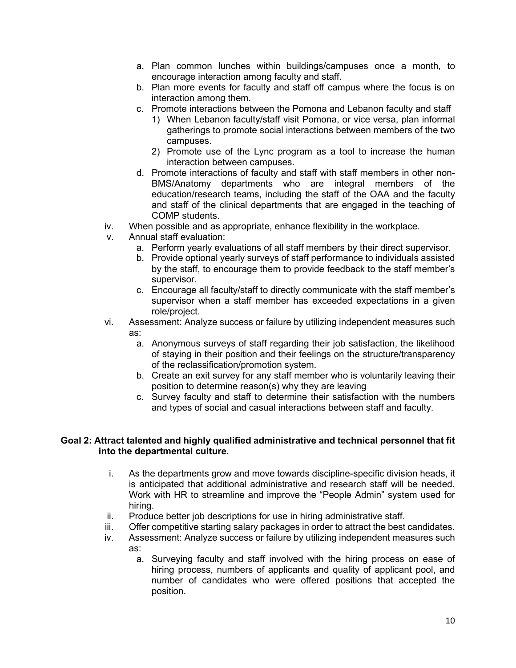- a. Plan common lunches within buildings/campuses once a month, to encourage interaction among faculty and staff.
- b. Plan more events for faculty and staff off campus where the focus is on interaction among them.
- c. Promote interactions between the Pomona and Lebanon faculty and staff
	- 1) When Lebanon faculty/staff visit Pomona, or vice versa, plan informal gatherings to promote social interactions between members of the two campuses.
	- 2) Promote use of the Lync program as a tool to increase the human interaction between campuses.
- d. Promote interactions of faculty and staff with staff members in other non-BMS/Anatomy departments who are integral members of the education/research teams, including the staff of the OAA and the faculty and staff of the clinical departments that are engaged in the teaching of COMP students.
- iv. When possible and as appropriate, enhance flexibility in the workplace.
- v. Annual staff evaluation:
	- a. Perform yearly evaluations of all staff members by their direct supervisor.
	- b. Provide optional yearly surveys of staff performance to individuals assisted by the staff, to encourage them to provide feedback to the staff member's supervisor.
	- c. Encourage all faculty/staff to directly communicate with the staff member's supervisor when a staff member has exceeded expectations in a given role/project.
- vi. Assessment: Analyze success or failure by utilizing independent measures such as:
	- a. Anonymous surveys of staff regarding their job satisfaction, the likelihood of staying in their position and their feelings on the structure/transparency of the reclassification/promotion system.
	- b. Create an exit survey for any staff member who is voluntarily leaving their position to determine reason(s) why they are leaving
	- c. Survey faculty and staff to determine their satisfaction with the numbers and types of social and casual interactions between staff and faculty.

#### **Goal 2: Attract talented and highly qualified administrative and technical personnel that fit into the departmental culture.**

- i. As the departments grow and move towards discipline-specific division heads, it is anticipated that additional administrative and research staff will be needed. Work with HR to streamline and improve the "People Admin" system used for hiring.
- ii. Produce better job descriptions for use in hiring administrative staff.
- iii. Offer competitive starting salary packages in order to attract the best candidates.
- iv. Assessment: Analyze success or failure by utilizing independent measures such as:
	- a. Surveying faculty and staff involved with the hiring process on ease of hiring process, numbers of applicants and quality of applicant pool, and number of candidates who were offered positions that accepted the position.